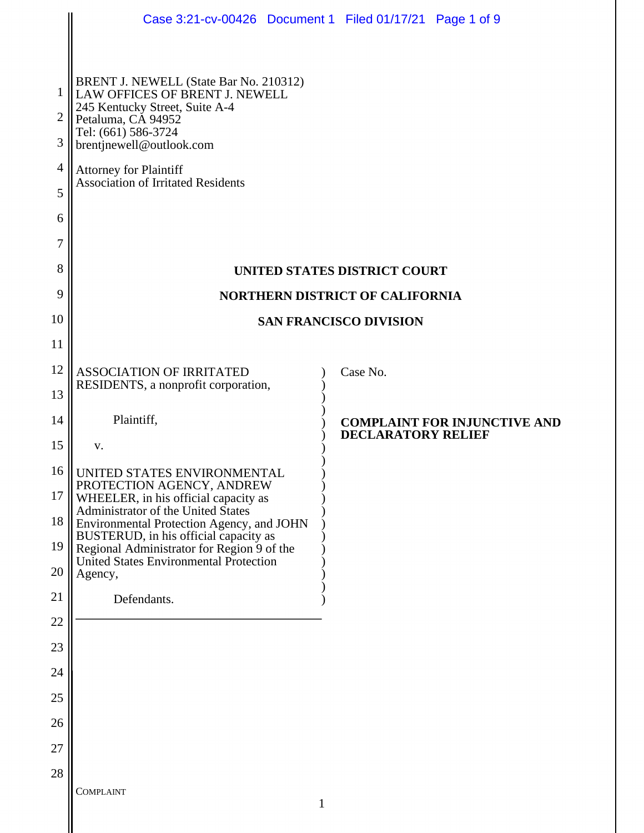|                     | Case 3:21-cv-00426  Document 1  Filed 01/17/21  Page 1 of 9                                                                                                                         |                           |                                     |  |  |
|---------------------|-------------------------------------------------------------------------------------------------------------------------------------------------------------------------------------|---------------------------|-------------------------------------|--|--|
|                     |                                                                                                                                                                                     |                           |                                     |  |  |
| 1                   | BRENT J. NEWELL (State Bar No. 210312)<br>LAW OFFICES OF BRENT J. NEWELL<br>245 Kentucky Street, Suite A-4<br>Petaluma, CA 94952<br>Tel: (661) 586-3724<br>brentjnewell@outlook.com |                           |                                     |  |  |
| $\overline{2}$<br>3 |                                                                                                                                                                                     |                           |                                     |  |  |
| $\overline{4}$      | <b>Attorney for Plaintiff</b>                                                                                                                                                       |                           |                                     |  |  |
| 5                   | <b>Association of Irritated Residents</b>                                                                                                                                           |                           |                                     |  |  |
| 6                   |                                                                                                                                                                                     |                           |                                     |  |  |
| 7                   |                                                                                                                                                                                     |                           |                                     |  |  |
| 8                   | UNITED STATES DISTRICT COURT                                                                                                                                                        |                           |                                     |  |  |
| 9                   | <b>NORTHERN DISTRICT OF CALIFORNIA</b>                                                                                                                                              |                           |                                     |  |  |
| 10                  | <b>SAN FRANCISCO DIVISION</b>                                                                                                                                                       |                           |                                     |  |  |
| 11                  |                                                                                                                                                                                     |                           |                                     |  |  |
| 12                  | <b>ASSOCIATION OF IRRITATED</b><br>RESIDENTS, a nonprofit corporation,                                                                                                              | Case No.                  |                                     |  |  |
| 13                  |                                                                                                                                                                                     |                           |                                     |  |  |
| 14                  | Plaintiff,                                                                                                                                                                          | <b>DECLARATORY RELIEF</b> | <b>COMPLAINT FOR INJUNCTIVE AND</b> |  |  |
| 15                  | V.                                                                                                                                                                                  |                           |                                     |  |  |
| 16                  | UNITED STATES ENVIRONMENTAL<br>PROTECTION AGENCY, ANDREW                                                                                                                            |                           |                                     |  |  |
| 17                  | WHEELER, in his official capacity as<br>Administrator of the United States                                                                                                          |                           |                                     |  |  |
| 18                  | Environmental Protection Agency, and JOHN<br>BUSTERUD, in his official capacity as                                                                                                  |                           |                                     |  |  |
| 19<br>20            | Regional Administrator for Region 9 of the<br>United States Environmental Protection                                                                                                |                           |                                     |  |  |
| 21                  | Agency,<br>Defendants.                                                                                                                                                              |                           |                                     |  |  |
| 22                  |                                                                                                                                                                                     |                           |                                     |  |  |
| 23                  |                                                                                                                                                                                     |                           |                                     |  |  |
| 24                  |                                                                                                                                                                                     |                           |                                     |  |  |
| 25                  |                                                                                                                                                                                     |                           |                                     |  |  |
| 26                  |                                                                                                                                                                                     |                           |                                     |  |  |
| 27                  |                                                                                                                                                                                     |                           |                                     |  |  |
| 28                  |                                                                                                                                                                                     |                           |                                     |  |  |
|                     | <b>COMPLAINT</b>                                                                                                                                                                    |                           |                                     |  |  |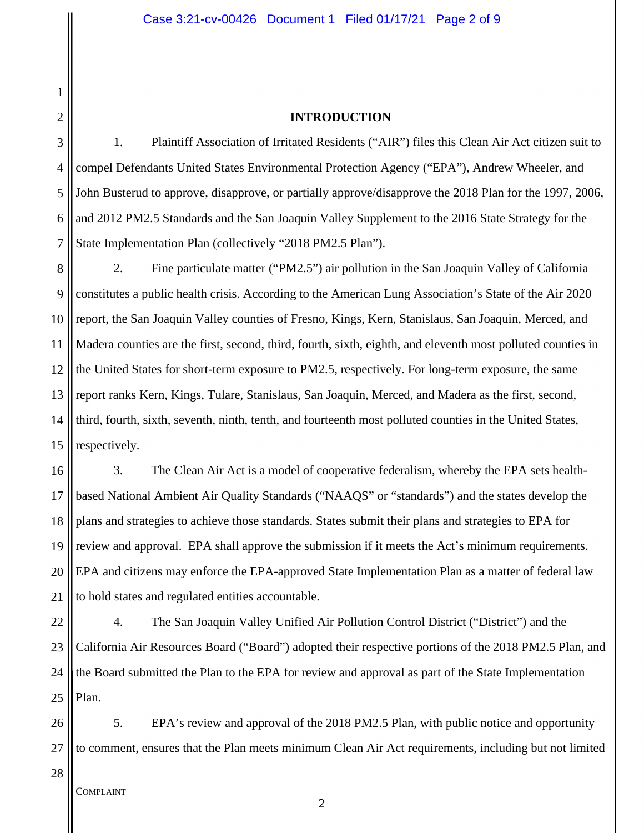#### **INTRODUCTION**

3 4 5 6 7 1. Plaintiff Association of Irritated Residents ("AIR") files this Clean Air Act citizen suit to compel Defendants United States Environmental Protection Agency ("EPA"), Andrew Wheeler, and John Busterud to approve, disapprove, or partially approve/disapprove the 2018 Plan for the 1997, 2006, and 2012 PM2.5 Standards and the San Joaquin Valley Supplement to the 2016 State Strategy for the State Implementation Plan (collectively "2018 PM2.5 Plan").

8 9 10 11 12 13 14 15 2. Fine particulate matter ("PM2.5") air pollution in the San Joaquin Valley of California constitutes a public health crisis. According to the American Lung Association's State of the Air 2020 report, the San Joaquin Valley counties of Fresno, Kings, Kern, Stanislaus, San Joaquin, Merced, and Madera counties are the first, second, third, fourth, sixth, eighth, and eleventh most polluted counties in the United States for short-term exposure to PM2.5, respectively. For long-term exposure, the same report ranks Kern, Kings, Tulare, Stanislaus, San Joaquin, Merced, and Madera as the first, second, third, fourth, sixth, seventh, ninth, tenth, and fourteenth most polluted counties in the United States, respectively.

16 17 18 19 20 21 3. The Clean Air Act is a model of cooperative federalism, whereby the EPA sets healthbased National Ambient Air Quality Standards ("NAAQS" or "standards") and the states develop the plans and strategies to achieve those standards. States submit their plans and strategies to EPA for review and approval. EPA shall approve the submission if it meets the Act's minimum requirements. EPA and citizens may enforce the EPA-approved State Implementation Plan as a matter of federal law to hold states and regulated entities accountable.

22 23 24 25 4. The San Joaquin Valley Unified Air Pollution Control District ("District") and the California Air Resources Board ("Board") adopted their respective portions of the 2018 PM2.5 Plan, and the Board submitted the Plan to the EPA for review and approval as part of the State Implementation Plan.

26 27 5. EPA's review and approval of the 2018 PM2.5 Plan, with public notice and opportunity to comment, ensures that the Plan meets minimum Clean Air Act requirements, including but not limited

28

1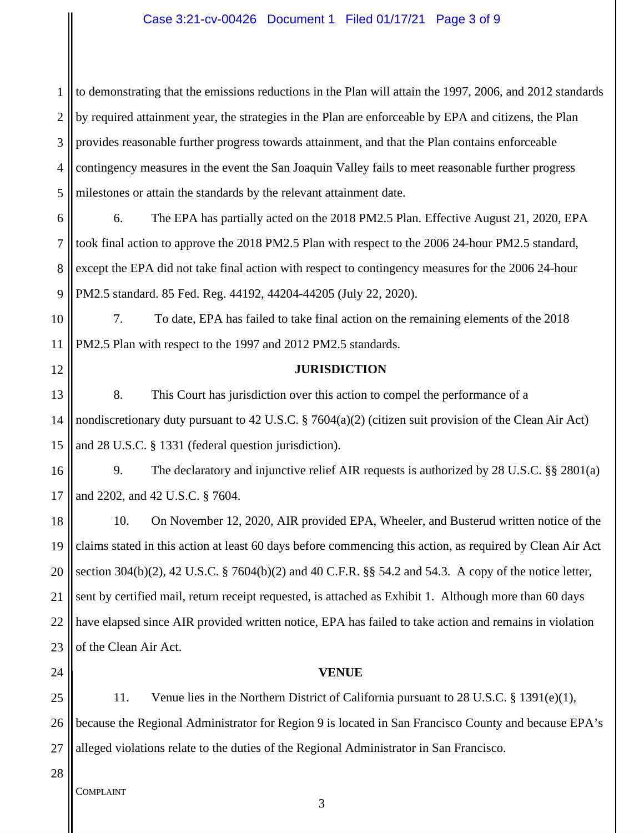### Case 3:21-cv-00426 Document 1 Filed 01/17/21 Page 3 of 9

1 2 3 4 5 to demonstrating that the emissions reductions in the Plan will attain the 1997, 2006, and 2012 standards by required attainment year, the strategies in the Plan are enforceable by EPA and citizens, the Plan provides reasonable further progress towards attainment, and that the Plan contains enforceable contingency measures in the event the San Joaquin Valley fails to meet reasonable further progress milestones or attain the standards by the relevant attainment date.

6 7 8 9 6. The EPA has partially acted on the 2018 PM2.5 Plan. Effective August 21, 2020, EPA took final action to approve the 2018 PM2.5 Plan with respect to the 2006 24-hour PM2.5 standard, except the EPA did not take final action with respect to contingency measures for the 2006 24-hour PM2.5 standard. 85 Fed. Reg. 44192, 44204-44205 (July 22, 2020).

10 11 7. To date, EPA has failed to take final action on the remaining elements of the 2018 PM2.5 Plan with respect to the 1997 and 2012 PM2.5 standards.

12

# **JURISDICTION**

13 14 15 8. This Court has jurisdiction over this action to compel the performance of a nondiscretionary duty pursuant to 42 U.S.C. § 7604(a)(2) (citizen suit provision of the Clean Air Act) and 28 U.S.C. § 1331 (federal question jurisdiction).

16 17 9. The declaratory and injunctive relief AIR requests is authorized by 28 U.S.C. §§ 2801(a) and 2202, and 42 U.S.C. § 7604.

18 19 20 21 22 23 10. On November 12, 2020, AIR provided EPA, Wheeler, and Busterud written notice of the claims stated in this action at least 60 days before commencing this action, as required by Clean Air Act section 304(b)(2), 42 U.S.C. § 7604(b)(2) and 40 C.F.R. §§ 54.2 and 54.3. A copy of the notice letter, sent by certified mail, return receipt requested, is attached as Exhibit 1. Although more than 60 days have elapsed since AIR provided written notice, EPA has failed to take action and remains in violation of the Clean Air Act.

24

# **VENUE**

25 26 27 11. Venue lies in the Northern District of California pursuant to 28 U.S.C. § 1391(e)(1), because the Regional Administrator for Region 9 is located in San Francisco County and because EPA's alleged violations relate to the duties of the Regional Administrator in San Francisco.

28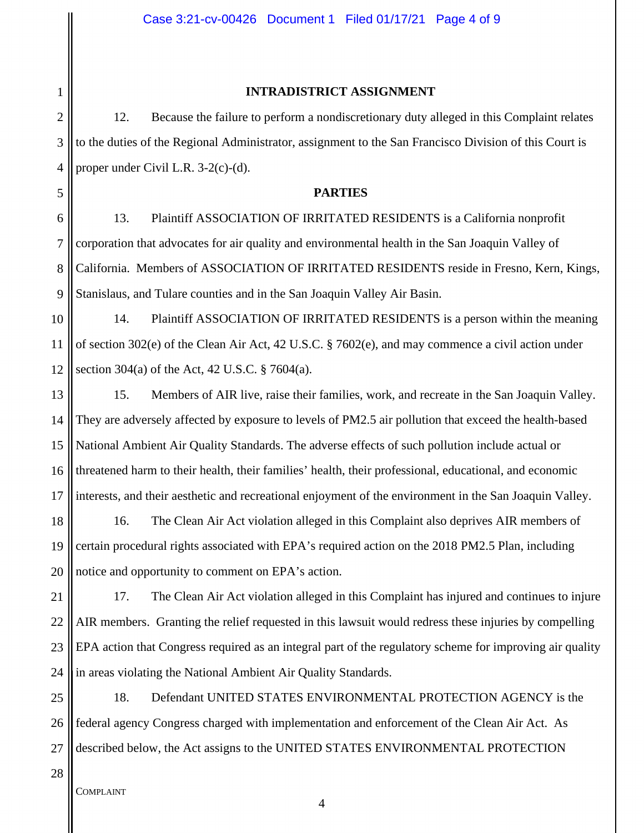### **INTRADISTRICT ASSIGNMENT**

12. Because the failure to perform a nondiscretionary duty alleged in this Complaint relates to the duties of the Regional Administrator, assignment to the San Francisco Division of this Court is proper under Civil L.R. 3-2(c)-(d).

# **PARTIES**

6 9 13. Plaintiff ASSOCIATION OF IRRITATED RESIDENTS is a California nonprofit corporation that advocates for air quality and environmental health in the San Joaquin Valley of California. Members of ASSOCIATION OF IRRITATED RESIDENTS reside in Fresno, Kern, Kings, Stanislaus, and Tulare counties and in the San Joaquin Valley Air Basin.

14. Plaintiff ASSOCIATION OF IRRITATED RESIDENTS is a person within the meaning of section 302(e) of the Clean Air Act, 42 U.S.C. § 7602(e), and may commence a civil action under section 304(a) of the Act, 42 U.S.C. § 7604(a).

16 17 15. Members of AIR live, raise their families, work, and recreate in the San Joaquin Valley. They are adversely affected by exposure to levels of PM2.5 air pollution that exceed the health-based National Ambient Air Quality Standards. The adverse effects of such pollution include actual or threatened harm to their health, their families' health, their professional, educational, and economic interests, and their aesthetic and recreational enjoyment of the environment in the San Joaquin Valley.

18 19 20 16. The Clean Air Act violation alleged in this Complaint also deprives AIR members of certain procedural rights associated with EPA's required action on the 2018 PM2.5 Plan, including notice and opportunity to comment on EPA's action.

21 22 23 24 17. The Clean Air Act violation alleged in this Complaint has injured and continues to injure AIR members. Granting the relief requested in this lawsuit would redress these injuries by compelling EPA action that Congress required as an integral part of the regulatory scheme for improving air quality in areas violating the National Ambient Air Quality Standards.

25 26 27 18. Defendant UNITED STATES ENVIRONMENTAL PROTECTION AGENCY is the federal agency Congress charged with implementation and enforcement of the Clean Air Act. As described below, the Act assigns to the UNITED STATES ENVIRONMENTAL PROTECTION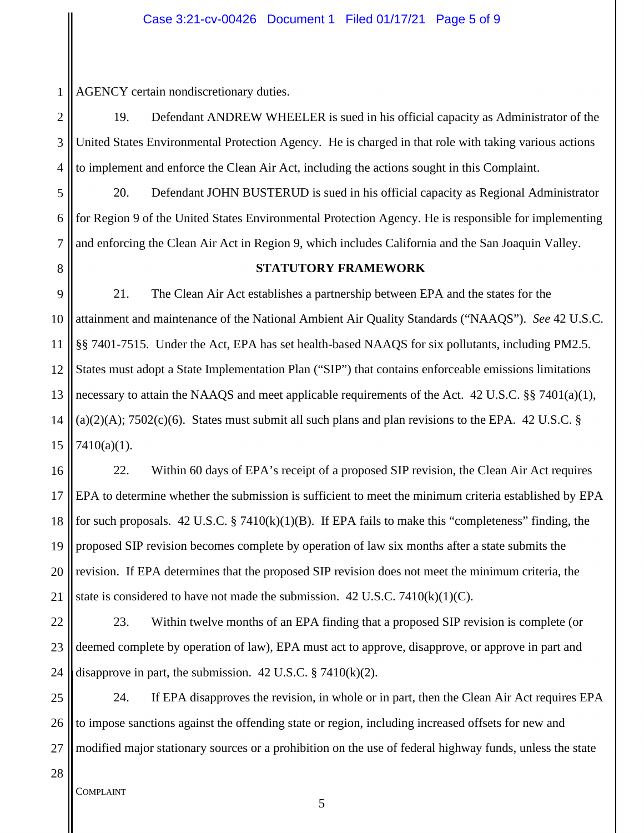1 AGENCY certain nondiscretionary duties.

2 3 4 19. Defendant ANDREW WHEELER is sued in his official capacity as Administrator of the United States Environmental Protection Agency. He is charged in that role with taking various actions to implement and enforce the Clean Air Act, including the actions sought in this Complaint.

5 6 7 20. Defendant JOHN BUSTERUD is sued in his official capacity as Regional Administrator for Region 9 of the United States Environmental Protection Agency. He is responsible for implementing and enforcing the Clean Air Act in Region 9, which includes California and the San Joaquin Valley.

# **STATUTORY FRAMEWORK**

9 10 11 12 13 14 15 21. The Clean Air Act establishes a partnership between EPA and the states for the attainment and maintenance of the National Ambient Air Quality Standards ("NAAQS"). *See* 42 U.S.C. §§ 7401-7515. Under the Act, EPA has set health-based NAAQS for six pollutants, including PM2.5. States must adopt a State Implementation Plan ("SIP") that contains enforceable emissions limitations necessary to attain the NAAQS and meet applicable requirements of the Act. 42 U.S.C. §§ 7401(a)(1),  $(a)(2)(A)$ ; 7502 $(c)(6)$ . States must submit all such plans and plan revisions to the EPA. 42 U.S.C. § 7410(a)(1).

16 17 18 19 20 21 22. Within 60 days of EPA's receipt of a proposed SIP revision, the Clean Air Act requires EPA to determine whether the submission is sufficient to meet the minimum criteria established by EPA for such proposals.  $42 \text{ U.S.C.}$  §  $7410(k)(1)(B)$ . If EPA fails to make this "completeness" finding, the proposed SIP revision becomes complete by operation of law six months after a state submits the revision. If EPA determines that the proposed SIP revision does not meet the minimum criteria, the state is considered to have not made the submission.  $42 \text{ U.S.C. } 7410 \text{ (k)}(1) \text{ (C)}$ .

22 23 24 23. Within twelve months of an EPA finding that a proposed SIP revision is complete (or deemed complete by operation of law), EPA must act to approve, disapprove, or approve in part and disapprove in part, the submission. 42 U.S.C.  $\S$  7410(k)(2).

25 26 27 24. If EPA disapproves the revision, in whole or in part, then the Clean Air Act requires EPA to impose sanctions against the offending state or region, including increased offsets for new and modified major stationary sources or a prohibition on the use of federal highway funds, unless the state

28

8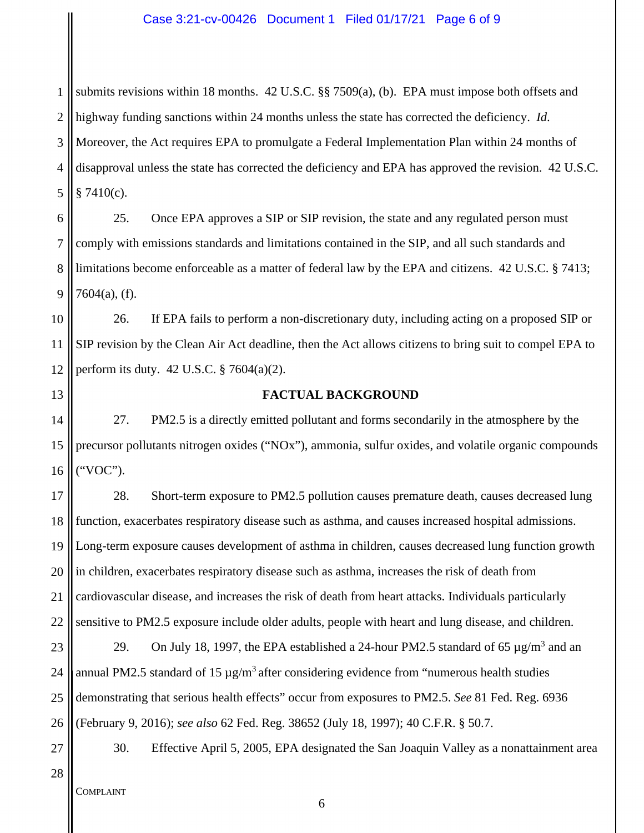1 2 3 4 5 submits revisions within 18 months. 42 U.S.C. §§ 7509(a), (b). EPA must impose both offsets and highway funding sanctions within 24 months unless the state has corrected the deficiency. *Id*. Moreover, the Act requires EPA to promulgate a Federal Implementation Plan within 24 months of disapproval unless the state has corrected the deficiency and EPA has approved the revision. 42 U.S.C.  $§ 7410(c).$ 

6 7 8 9 25. Once EPA approves a SIP or SIP revision, the state and any regulated person must comply with emissions standards and limitations contained in the SIP, and all such standards and limitations become enforceable as a matter of federal law by the EPA and citizens. 42 U.S.C. § 7413; 7604(a), (f).

10 11 12 26. If EPA fails to perform a non-discretionary duty, including acting on a proposed SIP or SIP revision by the Clean Air Act deadline, then the Act allows citizens to bring suit to compel EPA to perform its duty. 42 U.S.C. § 7604(a)(2).

13

### **FACTUAL BACKGROUND**

14 15 16 27. PM2.5 is a directly emitted pollutant and forms secondarily in the atmosphere by the precursor pollutants nitrogen oxides ("NOx"), ammonia, sulfur oxides, and volatile organic compounds ("VOC").

17 18 19 20 21 22 28. Short-term exposure to PM2.5 pollution causes premature death, causes decreased lung function, exacerbates respiratory disease such as asthma, and causes increased hospital admissions. Long-term exposure causes development of asthma in children, causes decreased lung function growth in children, exacerbates respiratory disease such as asthma, increases the risk of death from cardiovascular disease, and increases the risk of death from heart attacks. Individuals particularly sensitive to PM2.5 exposure include older adults, people with heart and lung disease, and children.

23 24 25 26 29. On July 18, 1997, the EPA established a 24-hour PM2.5 standard of 65  $\mu$ g/m<sup>3</sup> and an annual PM2.5 standard of 15  $\mu$ g/m<sup>3</sup> after considering evidence from "numerous health studies demonstrating that serious health effects" occur from exposures to PM2.5. *See* 81 Fed. Reg. 6936 (February 9, 2016); *see also* 62 Fed. Reg. 38652 (July 18, 1997); 40 C.F.R. § 50.7.

- 30. Effective April 5, 2005, EPA designated the San Joaquin Valley as a nonattainment area
- 28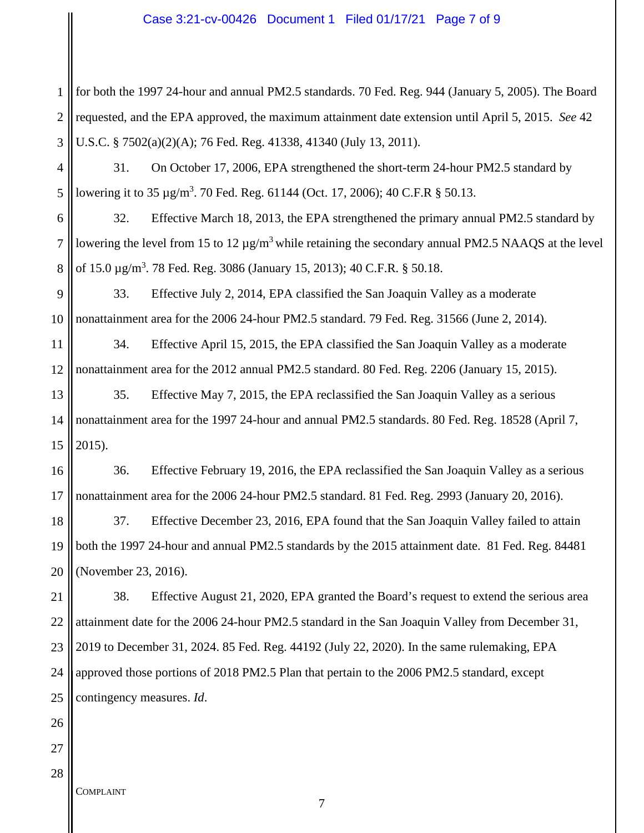### Case 3:21-cv-00426 Document 1 Filed 01/17/21 Page 7 of 9

1 2 3 for both the 1997 24-hour and annual PM2.5 standards. 70 Fed. Reg. 944 (January 5, 2005). The Board requested, and the EPA approved, the maximum attainment date extension until April 5, 2015. *See* 42 U.S.C. § 7502(a)(2)(A); 76 Fed. Reg. 41338, 41340 (July 13, 2011).

4 5 31. On October 17, 2006, EPA strengthened the short-term 24-hour PM2.5 standard by lowering it to 35  $\mu$ g/m<sup>3</sup>. 70 Fed. Reg. 61144 (Oct. 17, 2006); 40 C.F.R § 50.13.

6 7 8 32. Effective March 18, 2013, the EPA strengthened the primary annual PM2.5 standard by lowering the level from 15 to 12  $\mu$ g/m<sup>3</sup> while retaining the secondary annual PM2.5 NAAQS at the level of 15.0 μg/m<sup>3</sup>. 78 Fed. Reg. 3086 (January 15, 2013); 40 C.F.R. § 50.18.

9 10 33. Effective July 2, 2014, EPA classified the San Joaquin Valley as a moderate nonattainment area for the 2006 24-hour PM2.5 standard. 79 Fed. Reg. 31566 (June 2, 2014).

11 12 34. Effective April 15, 2015, the EPA classified the San Joaquin Valley as a moderate nonattainment area for the 2012 annual PM2.5 standard. 80 Fed. Reg. 2206 (January 15, 2015).

13 14 15 35. Effective May 7, 2015, the EPA reclassified the San Joaquin Valley as a serious nonattainment area for the 1997 24-hour and annual PM2.5 standards. 80 Fed. Reg. 18528 (April 7, 2015).

16 17 36. Effective February 19, 2016, the EPA reclassified the San Joaquin Valley as a serious nonattainment area for the 2006 24-hour PM2.5 standard. 81 Fed. Reg. 2993 (January 20, 2016).

18 19 20 37. Effective December 23, 2016, EPA found that the San Joaquin Valley failed to attain both the 1997 24-hour and annual PM2.5 standards by the 2015 attainment date. 81 Fed. Reg. 84481 (November 23, 2016).

21 22 23 24 25 38. Effective August 21, 2020, EPA granted the Board's request to extend the serious area attainment date for the 2006 24-hour PM2.5 standard in the San Joaquin Valley from December 31, 2019 to December 31, 2024. 85 Fed. Reg. 44192 (July 22, 2020). In the same rulemaking, EPA approved those portions of 2018 PM2.5 Plan that pertain to the 2006 PM2.5 standard, except contingency measures. *Id*.

26 27 28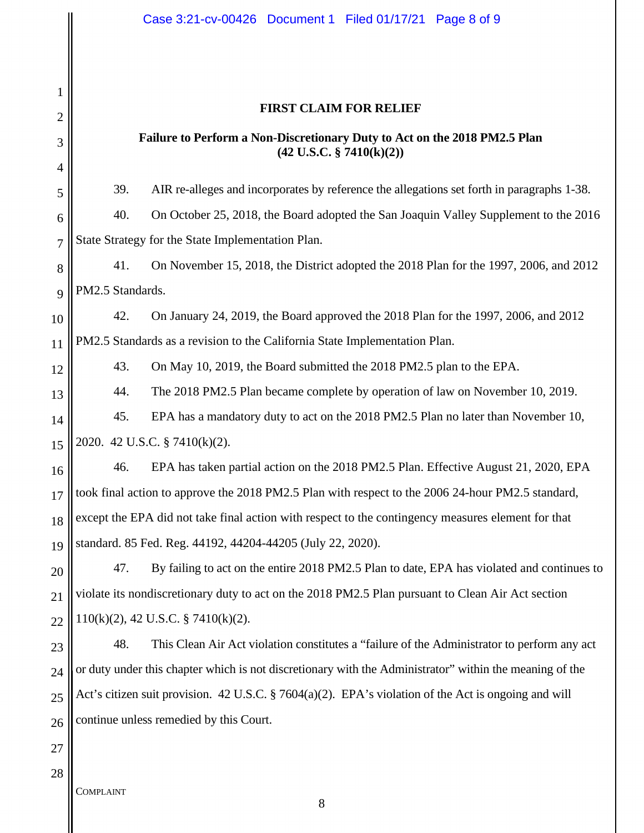# **FIRST CLAIM FOR RELIEF**

# **Failure to Perform a Non-Discretionary Duty to Act on the 2018 PM2.5 Plan (42 U.S.C. § 7410(k)(2))**

39. AIR re-alleges and incorporates by reference the allegations set forth in paragraphs 1-38.

6 7 40. On October 25, 2018, the Board adopted the San Joaquin Valley Supplement to the 2016 State Strategy for the State Implementation Plan.

8  $\overline{Q}$ 41. On November 15, 2018, the District adopted the 2018 Plan for the 1997, 2006, and 2012 PM2.5 Standards.

10 42. On January 24, 2019, the Board approved the 2018 Plan for the 1997, 2006, and 2012

11 PM2.5 Standards as a revision to the California State Implementation Plan.

43. On May 10, 2019, the Board submitted the 2018 PM2.5 plan to the EPA.

44. The 2018 PM2.5 Plan became complete by operation of law on November 10, 2019.

14 45. EPA has a mandatory duty to act on the 2018 PM2.5 Plan no later than November 10,

15 2020. 42 U.S.C. § 7410(k)(2).

16 17 18 19 46. EPA has taken partial action on the 2018 PM2.5 Plan. Effective August 21, 2020, EPA took final action to approve the 2018 PM2.5 Plan with respect to the 2006 24-hour PM2.5 standard, except the EPA did not take final action with respect to the contingency measures element for that standard. 85 Fed. Reg. 44192, 44204-44205 (July 22, 2020).

20 21 22 47. By failing to act on the entire 2018 PM2.5 Plan to date, EPA has violated and continues to violate its nondiscretionary duty to act on the 2018 PM2.5 Plan pursuant to Clean Air Act section 110(k)(2), 42 U.S.C. § 7410(k)(2).

23 24 25 26 48. This Clean Air Act violation constitutes a "failure of the Administrator to perform any act or duty under this chapter which is not discretionary with the Administrator" within the meaning of the Act's citizen suit provision. 42 U.S.C. § 7604(a)(2). EPA's violation of the Act is ongoing and will continue unless remedied by this Court.

27 28

1

2

3

4

5

12

13